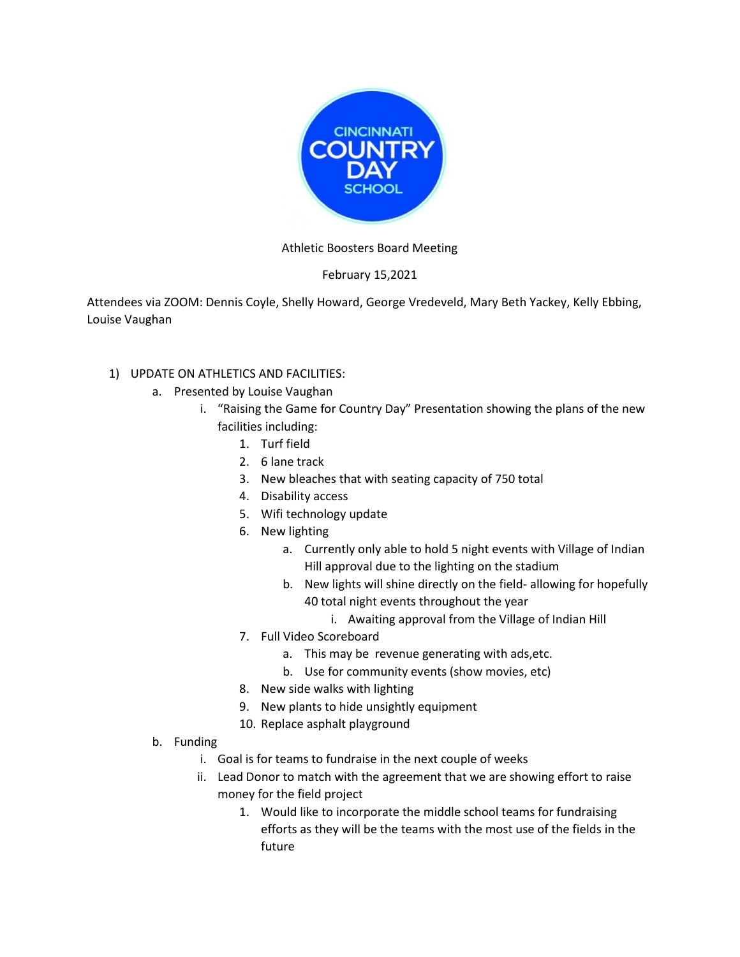

## Athletic Boosters Board Meeting

## February 15,2021

Attendees via ZOOM: Dennis Coyle, Shelly Howard, George Vredeveld, Mary Beth Yackey, Kelly Ebbing, Louise Vaughan

- 1) UPDATE ON ATHLETICS AND FACILITIES:
	- a. Presented by Louise Vaughan
		- i. "Raising the Game for Country Day" Presentation showing the plans of the new facilities including:
			- 1. Turf field
			- 2. 6 lane track
			- 3. New bleaches that with seating capacity of 750 total
			- 4. Disability access
			- 5. Wifi technology update
			- 6. New lighting
				- a. Currently only able to hold 5 night events with Village of Indian Hill approval due to the lighting on the stadium
				- b. New lights will shine directly on the field- allowing for hopefully 40 total night events throughout the year
					- i. Awaiting approval from the Village of Indian Hill
			- 7. Full Video Scoreboard
				- a. This may be revenue generating with ads,etc.
				- b. Use for community events (show movies, etc)
			- 8. New side walks with lighting
			- 9. New plants to hide unsightly equipment
			- 10. Replace asphalt playground
	- b. Funding
		- i. Goal is for teams to fundraise in the next couple of weeks
		- ii. Lead Donor to match with the agreement that we are showing effort to raise money for the field project
			- 1. Would like to incorporate the middle school teams for fundraising efforts as they will be the teams with the most use of the fields in the future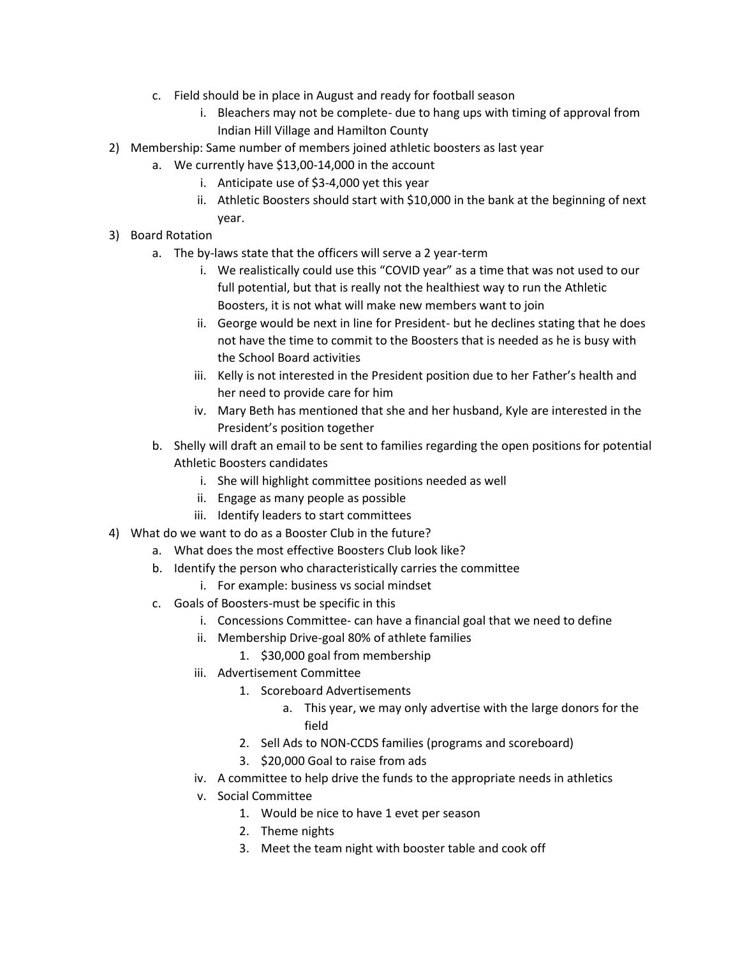- c. Field should be in place in August and ready for football season
	- i. Bleachers may not be complete- due to hang ups with timing of approval from Indian Hill Village and Hamilton County
- 2) Membership: Same number of members joined athletic boosters as last year
	- a. We currently have \$13,00-14,000 in the account
		- i. Anticipate use of \$3-4,000 yet this year
		- ii. Athletic Boosters should start with \$10,000 in the bank at the beginning of next year.
- 3) Board Rotation
	- a. The by-laws state that the officers will serve a 2 year-term
		- i. We realistically could use this "COVID year" as a time that was not used to our full potential, but that is really not the healthiest way to run the Athletic Boosters, it is not what will make new members want to join
		- ii. George would be next in line for President- but he declines stating that he does not have the time to commit to the Boosters that is needed as he is busy with the School Board activities
		- iii. Kelly is not interested in the President position due to her Father's health and her need to provide care for him
		- iv. Mary Beth has mentioned that she and her husband, Kyle are interested in the President's position together
	- b. Shelly will draft an email to be sent to families regarding the open positions for potential Athletic Boosters candidates
		- i. She will highlight committee positions needed as well
		- ii. Engage as many people as possible
		- iii. Identify leaders to start committees
- 4) What do we want to do as a Booster Club in the future?
	- a. What does the most effective Boosters Club look like?
	- b. Identify the person who characteristically carries the committee
		- i. For example: business vs social mindset
	- c. Goals of Boosters-must be specific in this
		- i. Concessions Committee- can have a financial goal that we need to define
		- ii. Membership Drive-goal 80% of athlete families
			- 1. \$30,000 goal from membership
		- iii. Advertisement Committee
			- 1. Scoreboard Advertisements
				- a. This year, we may only advertise with the large donors for the field
			- 2. Sell Ads to NON-CCDS families (programs and scoreboard)
			- 3. \$20,000 Goal to raise from ads
		- iv. A committee to help drive the funds to the appropriate needs in athletics
		- v. Social Committee
			- 1. Would be nice to have 1 evet per season
			- 2. Theme nights
			- 3. Meet the team night with booster table and cook off